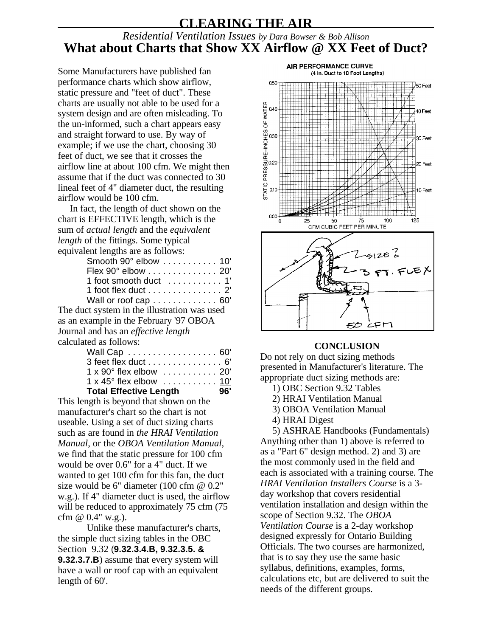## **CLEARING THE AIR**

## *Residential Ventilation Issues by Dara Bowser & Bob Allison* **What about Charts that Show XX Airflow @ XX Feet of Duct?**

Some Manufacturers have published fan performance charts which show airflow, static pressure and "feet of duct". These charts are usually not able to be used for a system design and are often misleading. To the un-informed, such a chart appears easy and straight forward to use. By way of example; if we use the chart, choosing 30 feet of duct, we see that it crosses the airflow line at about 100 cfm. We might then assume that if the duct was connected to 30 lineal feet of 4" diameter duct, the resulting airflow would be 100 cfm.

In fact, the length of duct shown on the chart is EFFECTIVE length, which is the sum of *actual length* and the *equivalent length* of the fittings. Some typical equivalent lengths are as follows:

| Smooth 90° elbow 10'                    |
|-----------------------------------------|
| Flex 90° elbow 20'                      |
| 1 foot smooth duct  1'                  |
| 1 foot flex duct 2                      |
| Wall or roof cap  60'                   |
| ict system in the illustration was used |

The duct system in the illustration was as an example in the February '97 OBOA Journal and has an *effective length* calculated as follows:

| $\overline{96}$<br><b>Total Effective Length</b>               |  |
|----------------------------------------------------------------|--|
| 1 x 45° flex elbow  10'                                        |  |
| $1 \times 90^\circ$ flex elbow $\ldots \ldots \ldots 20^\circ$ |  |
| 3 feet flex duct 6'                                            |  |
| Wall Cap 60'                                                   |  |
|                                                                |  |

This length is beyond that shown on the manufacturer's chart so the chart is not useable. Using a set of duct sizing charts such as are found in *the HRAI Ventilation Manual*, or the *OBOA Ventilation Manual*, we find that the static pressure for 100 cfm would be over 0.6" for a 4" duct. If we wanted to get 100 cfm for this fan, the duct size would be 6" diameter (100 cfm @ 0.2" w.g.). If 4" diameter duct is used, the airflow will be reduced to approximately 75 cfm (75) cfm  $@ 0.4" w.g.$ ).

Unlike these manufacturer's charts, the simple duct sizing tables in the OBC Section 9.32 (**9.32.3.4.B, 9.32.3.5. & 9.32.3.7.B**) assume that every system will have a wall or roof cap with an equivalent length of 60'.



## **CONCLUSION**

Do not rely on duct sizing methods presented in Manufacturer's literature. The appropriate duct sizing methods are:

- 1) OBC Section 9.32 Tables
- 2) HRAI Ventilation Manual
- 3) OBOA Ventilation Manual
- 4) HRAI Digest

5) ASHRAE Handbooks (Fundamentals) Anything other than 1) above is referred to as a "Part 6" design method. 2) and 3) are the most commonly used in the field and each is associated with a training course. The *HRAI Ventilation Installers Course* is a 3 day workshop that covers residential ventilation installation and design within the scope of Section 9.32. The *OBOA Ventilation Course* is a 2-day workshop designed expressly for Ontario Building Officials. The two courses are harmonized, that is to say they use the same basic syllabus, definitions, examples, forms, calculations etc, but are delivered to suit the needs of the different groups.